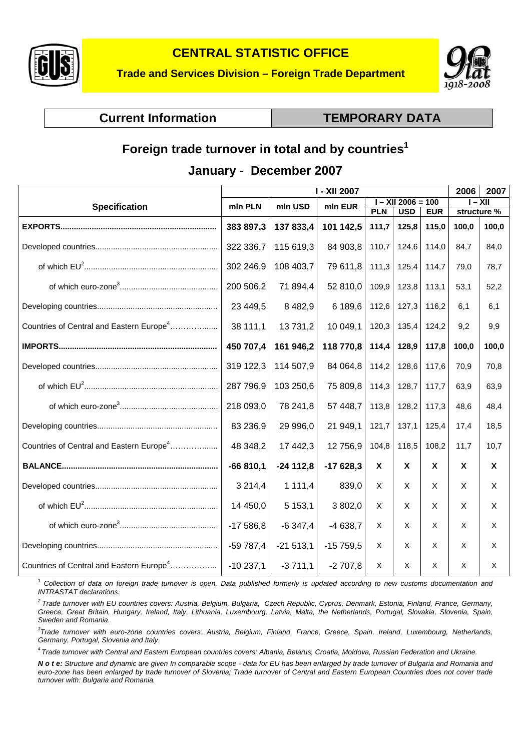



# **Current Information Current Information CURE TEMPORARY DATA**

# **Foreign trade turnover in total and by countries<sup>1</sup>**

#### **January - December 2007**

|                                                      | <b>I - XII 2007</b> |             |            |                      |            |            |             | 2007     |
|------------------------------------------------------|---------------------|-------------|------------|----------------------|------------|------------|-------------|----------|
| <b>Specification</b>                                 | mln PLN             | mln USD     | mln EUR    | $I - XII 2006 = 100$ |            |            | I – XII     |          |
|                                                      |                     |             |            | <b>PLN</b>           | <b>USD</b> | <b>EUR</b> | structure % |          |
|                                                      | 383 897,3           | 137 833,4   | 101 142,5  | 111,7                | 125,8      | 115,0      | 100,0       | 100,0    |
|                                                      | 322 336,7           | 115 619,3   | 84 903,8   | 110,7                | 124,6      | 114,0      | 84,7        | 84,0     |
|                                                      | 302 246,9           | 108 403,7   | 79 611,8   | 111,3                | 125,4      | 114,7      | 79,0        | 78,7     |
|                                                      | 200 506,2           | 71 894,4    | 52 810,0   | 109,9                | 123,8      | 113,1      | 53,1        | 52,2     |
|                                                      | 23 449,5            | 8 4 8 2, 9  | 6 189,6    | 112,6                | 127,3      | 116,2      | 6,1         | 6,1      |
| Countries of Central and Eastern Europe <sup>4</sup> | 38 111,1            | 13 731,2    | 10 049,1   | 120,3                | 135,4      | 124,2      | 9,2         | 9,9      |
|                                                      | 450 707,4           | 161 946,2   | 118 770,8  | 114,4                | 128,9      | 117,8      | 100,0       | 100,0    |
|                                                      | 319 122,3           | 114 507,9   | 84 064,8   | 114,2                | 128,6      | 117,6      | 70,9        | 70,8     |
|                                                      | 287 796,9           | 103 250,6   | 75 809,8   | 114,3                | 128,7      | 117,7      | 63,9        | 63,9     |
|                                                      | 218 093,0           | 78 241,8    | 57 448,7   | 113,8                | 128,2      | 117,3      | 48,6        | 48,4     |
|                                                      | 83 236,9            | 29 996,0    | 21 949,1   | 121,7                | 137,1      | 125,4      | 17.4        | 18,5     |
| Countries of Central and Eastern Europe <sup>4</sup> | 48 348,2            | 17 442,3    | 12 756,9   | 104,8                | 118,5      | 108,2      | 11,7        | 10,7     |
|                                                      | $-66810,1$          | $-24$ 112,8 | $-17628,3$ | X                    | X          | <b>X</b>   | $\mathbf x$ | X        |
|                                                      | 3 2 1 4,4           | 1111,4      | 839,0      | X                    | X          | X          | X           | X        |
|                                                      | 14 450,0            | 5 1 5 3 , 1 | 3 802,0    | X                    | $\times$   | X          | X           | $\times$ |
|                                                      | $-17586,8$          | $-6347,4$   | $-4638,7$  | X                    | X          | X          | X           | X        |
|                                                      | $-59787,4$          | $-21513,1$  | $-15759,5$ | X                    | $\times$   | X          | X           | X        |
| Countries of Central and Eastern Europe <sup>4</sup> | $-10237,1$          | $-3711,1$   | $-2707,8$  | X                    | X          | X          | X           | X        |

1  *Collection of data on foreign trade turnover is open. Data published formerly is updated according to new customs documentation and INTRASTAT declarations.* 

*2 Trade turnover with EU countries covers: Austria, Belgium, Bulgaria, Czech Republic, Cyprus, Denmark, Estonia, Finland, France, Germany, Greece, Great Britain, Hungary, Ireland, Italy, Lithuania, Luxembourg, Latvia, Malta, the Netherlands, Portugal, Slovakia, Slovenia, Spain, Sweden and Romania.* 

*3 Trade turnover with euro-zone countries covers: Austria, Belgium, Finland, France, Greece, Spain, Ireland, Luxembourg, Netherlands, Germany, Portugal, Slovenia and Italy.* 

*4 Trade turnover with Central and Eastern European countries covers: Albania, Belarus, Croatia, Moldova, Russian Federation and Ukraine.* 

*N o t e: Structure and dynamic are given In comparable scope - data for EU has been enlarged by trade turnover of Bulgaria and Romania and euro-zone has been enlarged by trade turnover of Slovenia; Trade turnover of Central and Eastern European Countries does not cover trade turnover with: Bulgaria and Romania.*